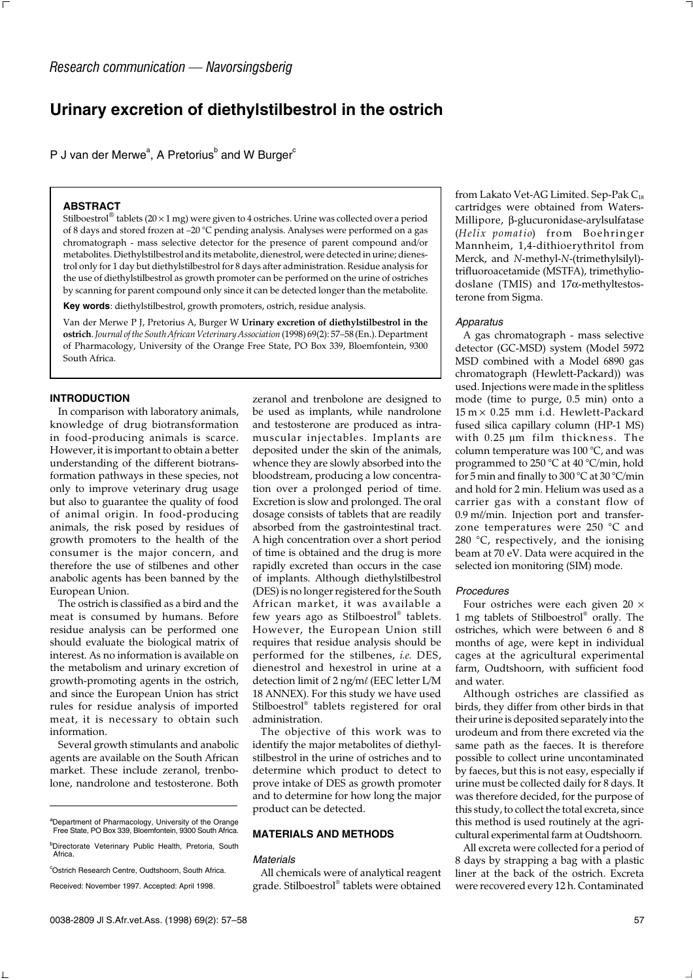# **Urinary excretion of diethylstilbestrol in the ostrich**

P J van der Merwe<sup>a</sup>, A Pretorius<sup>b</sup> and W Burger<sup>c</sup>

### **ABSTRACT**

Stilboestrol<sup>®</sup> tablets (20 × 1 mg) were given to 4 ostriches. Urine was collected over a period of 8 days and stored frozen at –20 °C pending analysis. Analyses were performed on a gas chromatograph - mass selective detector for the presence of parent compound and/or metabolites. Diethylstilbestrol and its metabolite, dienestrol, were detected in urine; dienestrol only for 1 day but diethylstilbestrol for 8 days after administration. Residue analysis for the use of diethylstilbestrol as growth promoter can be performed on the urine of ostriches by scanning for parent compound only since it can be detected longer than the metabolite.

**Key words**: diethylstilbestrol, growth promoters, ostrich, residue analysis.

Van der Merwe P J, Pretorius A, Burger W **Urinary excretion of diethylstilbestrol in the ostrich**. *Journal of the South African Veterinary Association* (1998) 69(2): 57–58 (En.). Department of Pharmacology, University of the Orange Free State, PO Box 339, Bloemfontein, 9300 South Africa.

#### **INTRODUCTION**

In comparison with laboratory animals, knowledge of drug biotransformation in food-producing animals is scarce. However, it is important to obtain a better understanding of the different biotransformation pathways in these species, not only to improve veterinary drug usage but also to guarantee the quality of food of animal origin. In food-producing animals, the risk posed by residues of growth promoters to the health of the consumer is the major concern, and therefore the use of stilbenes and other anabolic agents has been banned by the European Union.

The ostrich is classified as a bird and the meat is consumed by humans. Before residue analysis can be performed one should evaluate the biological matrix of interest. As no information is available on the metabolism and urinary excretion of growth-promoting agents in the ostrich, and since the European Union has strict rules for residue analysis of imported meat, it is necessary to obtain such information.

Several growth stimulants and anabolic agents are available on the South African market. These include zeranol, trenbolone, nandrolone and testosterone. Both zeranol and trenbolone are designed to be used as implants, while nandrolone and testosterone are produced as intramuscular injectables. Implants are deposited under the skin of the animals, whence they are slowly absorbed into the bloodstream, producing a low concentration over a prolonged period of time. Excretion is slow and prolonged. The oral dosage consists of tablets that are readily absorbed from the gastrointestinal tract. A high concentration over a short period of time is obtained and the drug is more rapidly excreted than occurs in the case of implants. Although diethylstilbestrol (DES) is no longer registered for the South African market, it was available a few years ago as Stilboestrol® tablets. However, the European Union still requires that residue analysis should be performed for the stilbenes, *i.e.* DES, dienestrol and hexestrol in urine at a detection limit of 2 ng/m*l* (EEC letter L/M 18 ANNEX). For this study we have used Stilboestrol® tablets registered for oral administration.

The objective of this work was to identify the major metabolites of diethylstilbestrol in the urine of ostriches and to determine which product to detect to prove intake of DES as growth promoter and to determine for how long the major product can be detected.

## **MATERIALS AND METHODS**

#### *Materials*

All chemicals were of analytical reagent grade. Stilboestrol® tablets were obtained

from Lakato Vet-AG Limited. Sep-Pak  $C_{18}$ cartridges were obtained from Waters-Millipore, β-glucuronidase-arylsulfatase (*Helix pomatio*) from Boehringer Mannheim, 1,4-dithioerythritol from Merck, and *N*-methyl-*N*-(trimethylsilyl) trifluoroacetamide (MSTFA), trimethyliodoslane (TMIS) and 17α-methyltestosterone from Sigma.

### *Apparatus*

A gas chromatograph - mass selective detector (GC-MSD) system (Model 5972 MSD combined with a Model 6890 gas chromatograph (Hewlett-Packard)) was used. Injections were made in the splitless mode (time to purge, 0.5 min) onto a 15 m × 0.25 mm i.d. Hewlett-Packard fused silica capillary column (HP-1 MS) with 0.25 µm film thickness. The column temperature was 100 °C, and was programmed to 250 °C at 40 °C/min, hold for 5 min and finally to 300 °C at 30 °C/min and hold for 2 min. Helium was used as a carrier gas with a constant flow of 0.9 m*l*/min. Injection port and transferzone temperatures were 250 °C and 280 °C, respectively, and the ionising beam at 70 eV. Data were acquired in the selected ion monitoring (SIM) mode.

#### *Procedures*

Four ostriches were each given  $20 \times$ 1 mg tablets of Stilboestrol® orally. The ostriches, which were between 6 and 8 months of age, were kept in individual cages at the agricultural experimental farm, Oudtshoorn, with sufficient food and water.

Although ostriches are classified as birds, they differ from other birds in that their urine is deposited separately into the urodeum and from there excreted via the same path as the faeces. It is therefore possible to collect urine uncontaminated by faeces, but this is not easy, especially if urine must be collected daily for 8 days. It was therefore decided, for the purpose of this study, to collect the total excreta, since this method is used routinely at the agricultural experimental farm at Oudtshoorn.

All excreta were collected for a period of 8 days by strapping a bag with a plastic liner at the back of the ostrich. Excreta were recovered every 12 h. Contaminated

a Department of Pharmacology, University of the Orange Free State, PO Box 339, Bloemfontein, 9300 South Africa.

<sup>&</sup>lt;sup>b</sup>Directorate Veterinary Public Health, Pretoria, South Africa.

<sup>&</sup>lt;sup>c</sup>Ostrich Research Centre, Oudtshoorn, South Africa. Received: November 1997. Accepted: April 1998.